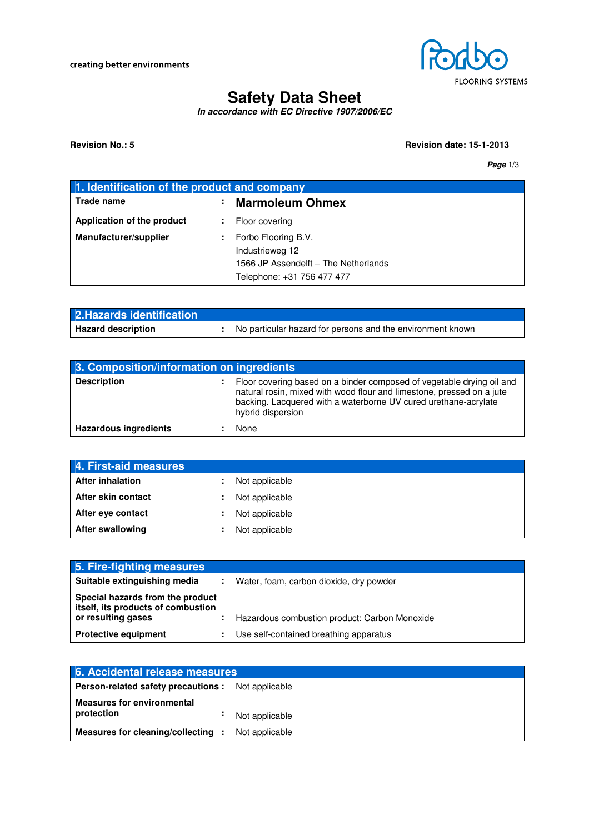

# **Safety Data Sheet**

**In accordance with EC Directive 1907/2006/EC**

#### **Revision No.: 5 Revision date: 15-1-2013**

**Page** 1/3

| 1. Identification of the product and company |    |                                                                                                              |
|----------------------------------------------|----|--------------------------------------------------------------------------------------------------------------|
| <b>Trade name</b>                            | ٠. | <b>Marmoleum Ohmex</b>                                                                                       |
| Application of the product                   | ÷. | Floor covering                                                                                               |
| Manufacturer/supplier                        |    | Forbo Flooring B.V.<br>Industrieweg 12<br>1566 JP Assendelft - The Netherlands<br>Telephone: +31 756 477 477 |

| 2. Hazards identification |                                                            |
|---------------------------|------------------------------------------------------------|
| <b>Hazard description</b> | No particular hazard for persons and the environment known |

| 3. Composition/information on ingredients |    |                                                                                                                                                                                                                                        |
|-------------------------------------------|----|----------------------------------------------------------------------------------------------------------------------------------------------------------------------------------------------------------------------------------------|
| <b>Description</b>                        | Ф. | Floor covering based on a binder composed of vegetable drying oil and<br>natural rosin, mixed with wood flour and limestone, pressed on a jute<br>backing. Lacquered with a waterborne UV cured urethane-acrylate<br>hybrid dispersion |
| <b>Hazardous ingredients</b>              |    | None                                                                                                                                                                                                                                   |

| 4. First-aid measures   |    |                |
|-------------------------|----|----------------|
| <b>After inhalation</b> | ÷. | Not applicable |
| After skin contact      | ÷. | Not applicable |
| After eye contact       | ÷. | Not applicable |
| <b>After swallowing</b> |    | Not applicable |

| 5. Fire-fighting measures                                                                    |                                               |
|----------------------------------------------------------------------------------------------|-----------------------------------------------|
| Suitable extinguishing media                                                                 | Water, foam, carbon dioxide, dry powder       |
| Special hazards from the product<br>itself, its products of combustion<br>or resulting gases | Hazardous combustion product: Carbon Monoxide |
| <b>Protective equipment</b>                                                                  | Use self-contained breathing apparatus        |

| 6. Accidental release measures                        |                |  |
|-------------------------------------------------------|----------------|--|
| Person-related safety precautions :                   | Not applicable |  |
| <b>Measures for environmental</b><br>protection<br>٠. | Not applicable |  |
| Measures for cleaning/collecting :                    | Not applicable |  |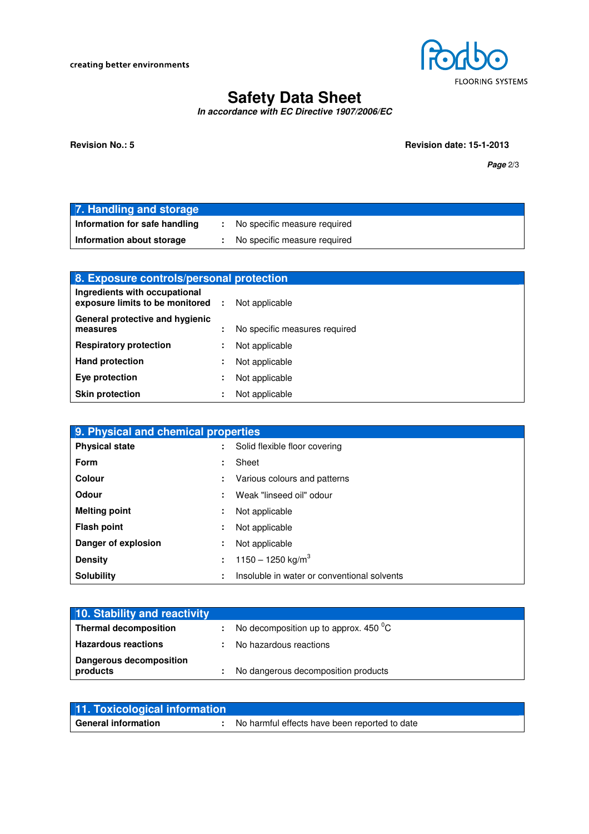creating better environments



# **Safety Data Sheet**

**In accordance with EC Directive 1907/2006/EC**

**Revision No.: 5 Revision date: 15-1-2013** 

**Page** 2/3

| 7. Handling and storage       |                                |
|-------------------------------|--------------------------------|
| Information for safe handling | : No specific measure required |
| Information about storage     | No specific measure required   |

| 8. Exposure controls/personal protection                         |    |                               |
|------------------------------------------------------------------|----|-------------------------------|
| Ingredients with occupational<br>exposure limits to be monitored | п. | Not applicable                |
| General protective and hygienic<br>measures                      | ÷. | No specific measures required |
| <b>Respiratory protection</b>                                    | ÷  | Not applicable                |
| <b>Hand protection</b>                                           | ÷  | Not applicable                |
| Eye protection                                                   | ٠  | Not applicable                |
| <b>Skin protection</b>                                           |    | Not applicable                |

| 9. Physical and chemical properties |    |                                             |
|-------------------------------------|----|---------------------------------------------|
| <b>Physical state</b>               |    | Solid flexible floor covering               |
| <b>Form</b>                         | ÷. | Sheet                                       |
| Colour                              | ÷. | Various colours and patterns                |
| <b>Odour</b>                        | ÷. | Weak "linseed oil" odour                    |
| <b>Melting point</b>                | ÷  | Not applicable                              |
| <b>Flash point</b>                  | ÷  | Not applicable                              |
| Danger of explosion                 | ÷. | Not applicable                              |
| <b>Density</b>                      | ÷. | 1150 - 1250 kg/m <sup>3</sup>               |
| <b>Solubility</b>                   | ÷  | Insoluble in water or conventional solvents |

| 10. Stability and reactivity               |    |                                          |
|--------------------------------------------|----|------------------------------------------|
| <b>Thermal decomposition</b>               | ÷. | No decomposition up to approx. 450 $^0C$ |
| <b>Hazardous reactions</b>                 |    | No hazardous reactions                   |
| <b>Dangerous decomposition</b><br>products |    | No dangerous decomposition products      |

| 11. Toxicological information |                                               |
|-------------------------------|-----------------------------------------------|
| <b>General information</b>    | No harmful effects have been reported to date |